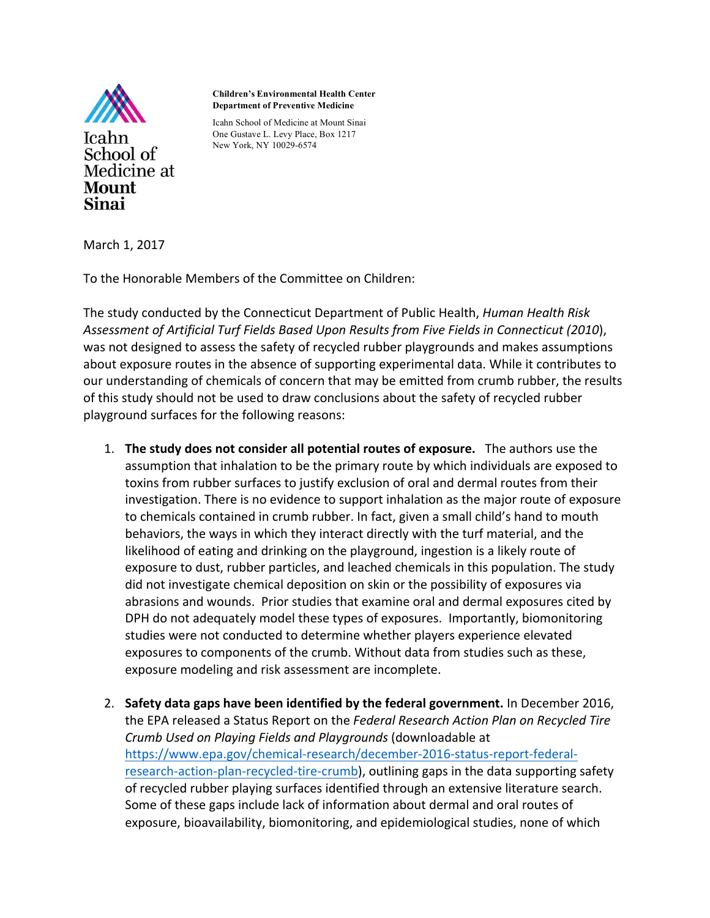

**Mount Sinai** 

**Children's Environmental Health Center Department of Preventive Medicine**

Icahn School of Medicine at Mount Sinai One Gustave L. Levy Place, Box 1217 New York, NY 10029-6574

March 1, 2017

Medicine at

To the Honorable Members of the Committee on Children:

The study conducted by the Connecticut Department of Public Health, *Human Health Risk Assessment of Artificial Turf Fields Based Upon Results from Five Fields in Connecticut (2010*), was not designed to assess the safety of recycled rubber playgrounds and makes assumptions about exposure routes in the absence of supporting experimental data. While it contributes to our understanding of chemicals of concern that may be emitted from crumb rubber, the results of this study should not be used to draw conclusions about the safety of recycled rubber playground surfaces for the following reasons:

- 1. **The study does not consider all potential routes of exposure.** The authors use the assumption that inhalation to be the primary route by which individuals are exposed to toxins from rubber surfaces to justify exclusion of oral and dermal routes from their investigation. There is no evidence to support inhalation as the major route of exposure to chemicals contained in crumb rubber. In fact, given a small child's hand to mouth behaviors, the ways in which they interact directly with the turf material, and the likelihood of eating and drinking on the playground, ingestion is a likely route of exposure to dust, rubber particles, and leached chemicals in this population. The study did not investigate chemical deposition on skin or the possibility of exposures via abrasions and wounds. Prior studies that examine oral and dermal exposures cited by DPH do not adequately model these types of exposures. Importantly, biomonitoring studies were not conducted to determine whether players experience elevated exposures to components of the crumb. Without data from studies such as these, exposure modeling and risk assessment are incomplete.
- 2. Safety data gaps have been identified by the federal government. In December 2016, the EPA released a Status Report on the Federal Research Action Plan on Recycled Tire *Crumb Used on Playing Fields and Playgrounds* (downloadable at https://www.epa.gov/chemical-research/december-2016-status-report-federalresearch-action-plan-recycled-tire-crumb), outlining gaps in the data supporting safety of recycled rubber playing surfaces identified through an extensive literature search. Some of these gaps include lack of information about dermal and oral routes of exposure, bioavailability, biomonitoring, and epidemiological studies, none of which